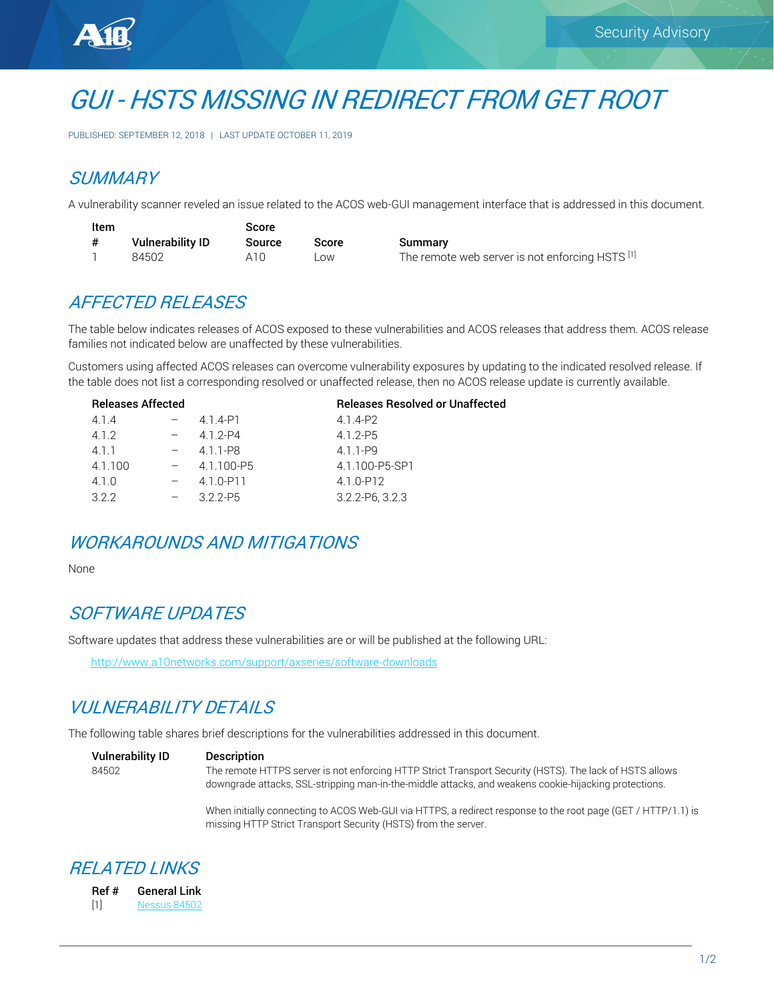

# GUI - HSTS MISSING IN REDIRECT FROM GET ROOT

PUBLISHED: SEPTEMBER 12, 2018 | LAST UPDATE OCTOBER 11, 2019

#### **SUMMARY**

A vulnerability scanner reveled an issue related to the ACOS web-GUI management interface that is addressed in this document.

| Item |                         | Score         |       |                                                 |
|------|-------------------------|---------------|-------|-------------------------------------------------|
| #    | <b>Vulnerability ID</b> | <b>Source</b> | Score | Summary                                         |
|      | 84502                   | A1()          | ∟OW.  | The remote web server is not enforcing HSTS [1] |

#### AFFECTED RELEASES

The table below indicates releases of ACOS exposed to these vulnerabilities and ACOS releases that address them. ACOS release families not indicated below are unaffected by these vulnerabilities.

Customers using affected ACOS releases can overcome vulnerability exposures by updating to the indicated resolved release. If the table does not list a corresponding resolved or unaffected release, then no ACOS release update is currently available.

| <b>Releases Affected</b> |  |            | <b>Releases Resolved or Unaffected</b> |
|--------------------------|--|------------|----------------------------------------|
| 4.1.4                    |  | 4.1.4-P1   | 4.1.4-P2                               |
| 412                      |  | 4 1 2-P4   | $4.1.2 - P5$                           |
| 4.1.1                    |  | 4.1.1-P8   | 4 1 1-P9                               |
| 4.1.100                  |  | 4.1.100-P5 | 4.1.100-P5-SP1                         |
| 4.1.0                    |  | 4.1.0-P11  | 4.1.0-P12                              |
| 322                      |  | $322-P5$   | $3.2.2 - P6.3.2.3$                     |
|                          |  |            |                                        |

### WORKAROUNDS AND MITIGATIONS

None

#### SOFTWARE UPDATES

Software updates that address these vulnerabilities are or will be published at the following URL:

<http://www.a10networks.com/support/axseries/software-downloads>

## VULNERABILITY DETAILS

The following table shares brief descriptions for the vulnerabilities addressed in this document.

| <b>Vulnerability ID</b> | <b>Description</b>                                                                                                                                                                                               |
|-------------------------|------------------------------------------------------------------------------------------------------------------------------------------------------------------------------------------------------------------|
| 84502                   | The remote HTTPS server is not enforcing HTTP Strict Transport Security (HSTS). The lack of HSTS allows<br>downgrade attacks, SSL-stripping man-in-the-middle attacks, and weakens cookie-hijacking protections. |

When initially connecting to ACOS Web-GUI via HTTPS, a redirect response to the root page (GET / HTTP/1.1) is missing HTTP Strict Transport Security (HSTS) from the server.

#### RELATED LINKS

| Ref # | <b>General Link</b> |
|-------|---------------------|
| $[1]$ | Nessus 84502        |